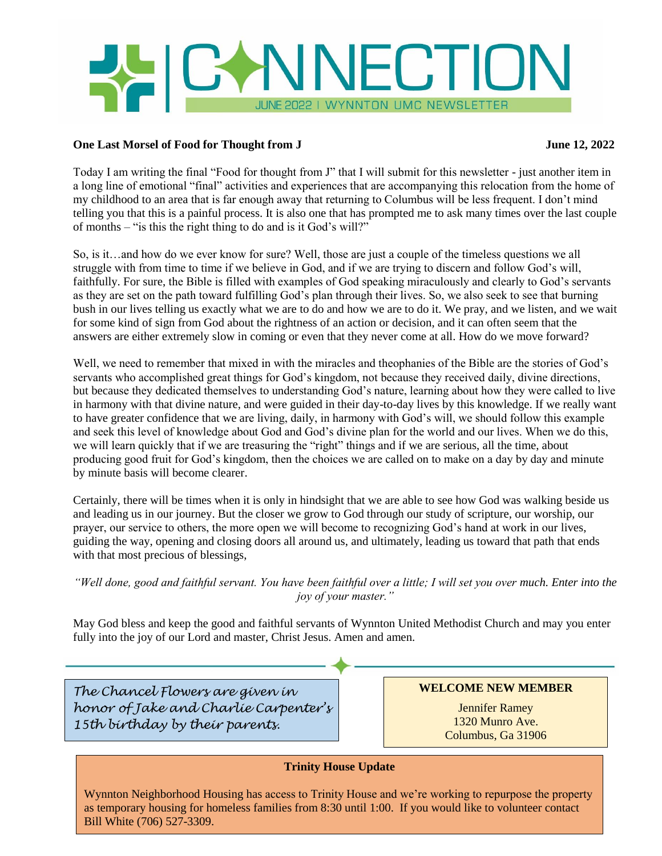

## **One Last Morsel of Food for Thought from J** June 12, 2022

Today I am writing the final "Food for thought from J" that I will submit for this newsletter - just another item in a long line of emotional "final" activities and experiences that are accompanying this relocation from the home of my childhood to an area that is far enough away that returning to Columbus will be less frequent. I don't mind telling you that this is a painful process. It is also one that has prompted me to ask many times over the last couple of months – "is this the right thing to do and is it God's will?"

So, is it…and how do we ever know for sure? Well, those are just a couple of the timeless questions we all struggle with from time to time if we believe in God, and if we are trying to discern and follow God's will, faithfully. For sure, the Bible is filled with examples of God speaking miraculously and clearly to God's servants as they are set on the path toward fulfilling God's plan through their lives. So, we also seek to see that burning bush in our lives telling us exactly what we are to do and how we are to do it. We pray, and we listen, and we wait for some kind of sign from God about the rightness of an action or decision, and it can often seem that the answers are either extremely slow in coming or even that they never come at all. How do we move forward?

Well, we need to remember that mixed in with the miracles and theophanies of the Bible are the stories of God's servants who accomplished great things for God's kingdom, not because they received daily, divine directions, but because they dedicated themselves to understanding God's nature, learning about how they were called to live in harmony with that divine nature, and were guided in their day-to-day lives by this knowledge. If we really want to have greater confidence that we are living, daily, in harmony with God's will, we should follow this example and seek this level of knowledge about God and God's divine plan for the world and our lives. When we do this, we will learn quickly that if we are treasuring the "right" things and if we are serious, all the time, about producing good fruit for God's kingdom, then the choices we are called on to make on a day by day and minute by minute basis will become clearer.

Certainly, there will be times when it is only in hindsight that we are able to see how God was walking beside us and leading us in our journey. But the closer we grow to God through our study of scripture, our worship, our prayer, our service to others, the more open we will become to recognizing God's hand at work in our lives, guiding the way, opening and closing doors all around us, and ultimately, leading us toward that path that ends with that most precious of blessings,

## *"Well done, good and faithful servant. You have been faithful over a little; I will set you over much. Enter into the joy of your master."*

May God bless and keep the good and faithful servants of Wynnton United Methodist Church and may you enter fully into the joy of our Lord and master, Christ Jesus. Amen and amen.

*The Chancel Flowers are given in honor of Jake and Charlie Carpenter's 15th birthday by their parents.*

**WELCOME NEW MEMBER**

Jennifer Ramey 1320 Munro Ave. Columbus, Ga 31906

## **Trinity House Update**

Wynnton Neighborhood Housing has access to Trinity House and we're working to repurpose the property as temporary housing for homeless families from 8:30 until 1:00. If you would like to volunteer contact Bill White (706) 527-3309.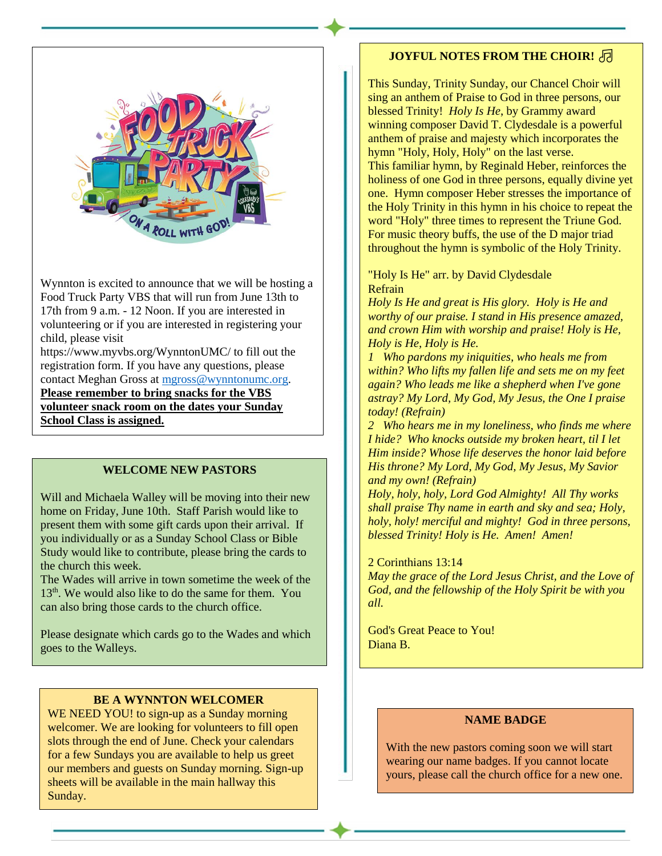

Wynnton is excited to announce that we will be hosting a Food Truck Party VBS that will run from June 13th to 17th from 9 a.m. - 12 Noon. If you are interested in volunteering or if you are interested in registering your child, please visit

https://www.myvbs.org/WynntonUMC/ to fill out the registration form. If you have any questions, please contact Meghan Gross at [mgross@wynntonumc.org.](mailto:mgross@wynntonumc.org) **Please remember to bring snacks for the VBS volunteer snack room on the dates your Sunday School Class is assigned.**

## **WELCOME NEW PASTORS**

Will and Michaela Walley will be moving into their new home on Friday, June 10th. Staff Parish would like to present them with some gift cards upon their arrival. If you individually or as a Sunday School Class or Bible Study would like to contribute, please bring the cards to the church this week.

The Wades will arrive in town sometime the week of the 13<sup>th</sup>. We would also like to do the same for them. You can also bring those cards to the church office.

Please designate which cards go to the Wades and which goes to the Walleys.

### **BE A WYNNTON WELCOMER**

WE NEED YOU! to sign-up as a Sunday morning welcomer. We are looking for volunteers to fill open slots through the end of June. Check your calendars for a few Sundays you are available to help us greet our members and guests on Sunday morning. Sign-up sheets will be available in the main hallway this Sunday.

# **JOYFUL NOTES FROM THE CHOIR!**

This Sunday, Trinity Sunday, our Chancel Choir will sing an anthem of Praise to God in three persons, our blessed Trinity! *Holy Is He*, by Grammy award winning composer David T. Clydesdale is a powerful anthem of praise and majesty which incorporates the hymn "Holy, Holy, Holy" on the last verse. This familiar hymn, by Reginald Heber, reinforces the holiness of one God in three persons, equally divine yet one. Hymn composer Heber stresses the importance of the Holy Trinity in this hymn in his choice to repeat the word "Holy" three times to represent the Triune God. For music theory buffs, the use of the D major triad throughout the hymn is symbolic of the Holy Trinity.

"Holy Is He" arr. by David Clydesdale Refrain

*Holy Is He and great is His glory. Holy is He and worthy of our praise. I stand in His presence amazed, and crown Him with worship and praise! Holy is He, Holy is He, Holy is He.*

*1 Who pardons my iniquities, who heals me from within? Who lifts my fallen life and sets me on my feet again? Who leads me like a shepherd when I've gone astray? My Lord, My God, My Jesus, the One I praise today! (Refrain)*

*2 Who hears me in my loneliness, who finds me where I hide? Who knocks outside my broken heart, til I let Him inside? Whose life deserves the honor laid before His throne? My Lord, My God, My Jesus, My Savior and my own! (Refrain)*

*Holy, holy, holy, Lord God Almighty! All Thy works shall praise Thy name in earth and sky and sea; Holy, holy, holy! merciful and mighty! God in three persons, blessed Trinity! Holy is He. Amen! Amen!*

#### 2 Corinthians 13:14

*May the grace of the Lord Jesus Christ, and the Love of God, and the fellowship of the Holy Spirit be with you all.*

God's Great Peace to You! Diana B.

## **NAME BADGE**

With the new pastors coming soon we will start wearing our name badges. If you cannot locate yours, please call the church office for a new one.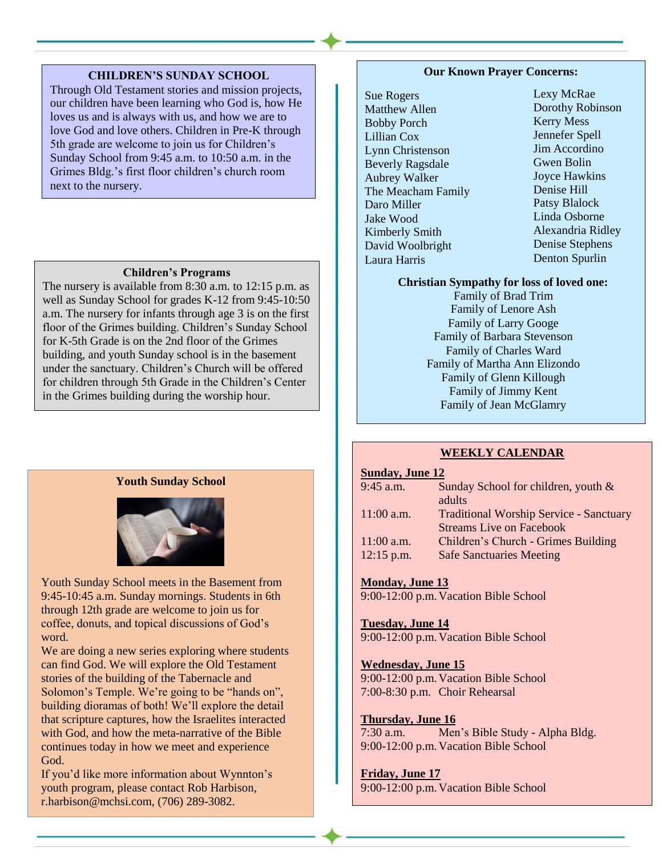### **CHILDREN'S SUNDAY SCHOOL**

Through Old Testament stories and mission projects, our children have been learning who God is, how He loves us and is always with us, and how we are to love God and love others. Children in Pre-K through 5th grade are welcome to join us for Children's Sunday School from 9:45 a.m. to 10:50 a.m. in the Grimes Bldg.'s first floor children's church room next to the nursery.

#### **Children's Programs**

The nursery is available from 8:30 a.m. to 12:15 p.m. as well as Sunday School for grades K-12 from 9:45-10:50 a.m. The nursery for infants through age 3 is on the first floor of the Grimes building. Children's Sunday School for K-5th Grade is on the 2nd floor of the Grimes building, and youth Sunday school is in the basement under the sanctuary. Children's Church will be offered for children through 5th Grade in the Children's Center in the Grimes building during the worship hour.

### **Youth Sunday School**



Youth Sunday School meets in the Basement from 9:45-10:45 a.m. Sunday mornings. Students in 6th through 12th grade are welcome to join us for coffee, donuts, and topical discussions of God's word.

We are doing a new series exploring where students can find God. We will explore the Old Testament stories of the building of the Tabernacle and Solomon's Temple. We're going to be "hands on", building dioramas of both! We'll explore the detail that scripture captures, how the Israelites interacted with God, and how the meta-narrative of the Bible continues today in how we meet and experience God.

If you'd like more information about Wynnton's youth program, please contact Rob Harbison, r.harbison@mchsi.com, (706) 289-3082.

### **Our Known Prayer Concerns:**

Sue Rogers Matthew Allen Bobby Porch Lillian Cox Lynn Christenson Beverly Ragsdale Aubrey Walker The Meacham Family Daro Miller Jake Wood Kimberly Smith David Woolbright Laura Harris

Lexy McRae Dorothy Robinson Kerry Mess Jennefer Spell Jim Accordino Gwen Bolin Joyce Hawkins Denise Hill Patsy Blalock Linda Osborne Alexandria Ridley Denise Stephens Denton Spurlin

#### **Christian Sympathy for loss of loved one:**

Family of Brad Trim Family of Lenore Ash Family of Larry Googe Family of Barbara Stevenson Family of Charles Ward Family of Martha Ann Elizondo Family of Glenn Killough Family of Jimmy Kent Family of Jean McGlamry

#### **WEEKLY CALENDAR**

### **Sunday, June 12**

| <b>Traditional Worship Service - Sanctuary</b> |
|------------------------------------------------|
|                                                |
|                                                |
|                                                |
|                                                |

# **Monday, June 13**

9:00-12:00 p.m. Vacation Bible School

## **Tuesday, June 14**

9:00-12:00 p.m.Vacation Bible School

#### **Wednesday, June 15**

9:00-12:00 p.m.Vacation Bible School 7:00-8:30 p.m. Choir Rehearsal

### **Thursday, June 16**

7:30 a.m. Men's Bible Study - Alpha Bldg. 9:00-12:00 p.m.Vacation Bible School

### **Friday, June 17**

9:00-12:00 p.m.Vacation Bible School